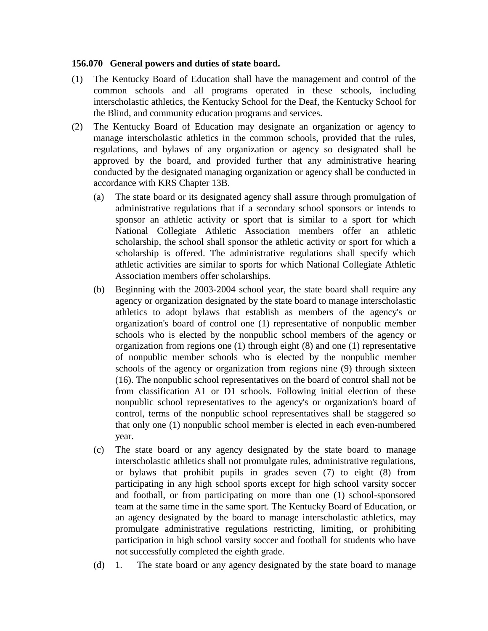## **156.070 General powers and duties of state board.**

- (1) The Kentucky Board of Education shall have the management and control of the common schools and all programs operated in these schools, including interscholastic athletics, the Kentucky School for the Deaf, the Kentucky School for the Blind, and community education programs and services.
- (2) The Kentucky Board of Education may designate an organization or agency to manage interscholastic athletics in the common schools, provided that the rules, regulations, and bylaws of any organization or agency so designated shall be approved by the board, and provided further that any administrative hearing conducted by the designated managing organization or agency shall be conducted in accordance with KRS Chapter 13B.
	- (a) The state board or its designated agency shall assure through promulgation of administrative regulations that if a secondary school sponsors or intends to sponsor an athletic activity or sport that is similar to a sport for which National Collegiate Athletic Association members offer an athletic scholarship, the school shall sponsor the athletic activity or sport for which a scholarship is offered. The administrative regulations shall specify which athletic activities are similar to sports for which National Collegiate Athletic Association members offer scholarships.
	- (b) Beginning with the 2003-2004 school year, the state board shall require any agency or organization designated by the state board to manage interscholastic athletics to adopt bylaws that establish as members of the agency's or organization's board of control one (1) representative of nonpublic member schools who is elected by the nonpublic school members of the agency or organization from regions one (1) through eight (8) and one (1) representative of nonpublic member schools who is elected by the nonpublic member schools of the agency or organization from regions nine (9) through sixteen (16). The nonpublic school representatives on the board of control shall not be from classification A1 or D1 schools. Following initial election of these nonpublic school representatives to the agency's or organization's board of control, terms of the nonpublic school representatives shall be staggered so that only one (1) nonpublic school member is elected in each even-numbered year.
	- (c) The state board or any agency designated by the state board to manage interscholastic athletics shall not promulgate rules, administrative regulations, or bylaws that prohibit pupils in grades seven (7) to eight (8) from participating in any high school sports except for high school varsity soccer and football, or from participating on more than one (1) school-sponsored team at the same time in the same sport. The Kentucky Board of Education, or an agency designated by the board to manage interscholastic athletics, may promulgate administrative regulations restricting, limiting, or prohibiting participation in high school varsity soccer and football for students who have not successfully completed the eighth grade.
	- (d) 1. The state board or any agency designated by the state board to manage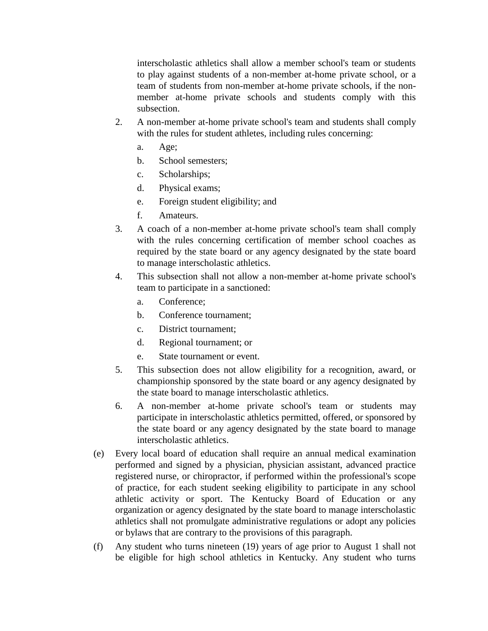interscholastic athletics shall allow a member school's team or students to play against students of a non-member at-home private school, or a team of students from non-member at-home private schools, if the nonmember at-home private schools and students comply with this subsection.

- 2. A non-member at-home private school's team and students shall comply with the rules for student athletes, including rules concerning:
	- a. Age;
	- b. School semesters;
	- c. Scholarships;
	- d. Physical exams;
	- e. Foreign student eligibility; and
	- f. Amateurs.
- 3. A coach of a non-member at-home private school's team shall comply with the rules concerning certification of member school coaches as required by the state board or any agency designated by the state board to manage interscholastic athletics.
- 4. This subsection shall not allow a non-member at-home private school's team to participate in a sanctioned:
	- a. Conference;
	- b. Conference tournament;
	- c. District tournament;
	- d. Regional tournament; or
	- e. State tournament or event.
- 5. This subsection does not allow eligibility for a recognition, award, or championship sponsored by the state board or any agency designated by the state board to manage interscholastic athletics.
- 6. A non-member at-home private school's team or students may participate in interscholastic athletics permitted, offered, or sponsored by the state board or any agency designated by the state board to manage interscholastic athletics.
- (e) Every local board of education shall require an annual medical examination performed and signed by a physician, physician assistant, advanced practice registered nurse, or chiropractor, if performed within the professional's scope of practice, for each student seeking eligibility to participate in any school athletic activity or sport. The Kentucky Board of Education or any organization or agency designated by the state board to manage interscholastic athletics shall not promulgate administrative regulations or adopt any policies or bylaws that are contrary to the provisions of this paragraph.
- (f) Any student who turns nineteen (19) years of age prior to August 1 shall not be eligible for high school athletics in Kentucky. Any student who turns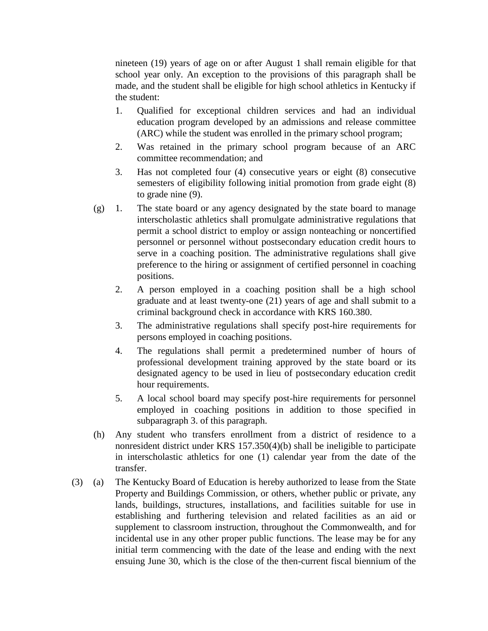nineteen (19) years of age on or after August 1 shall remain eligible for that school year only. An exception to the provisions of this paragraph shall be made, and the student shall be eligible for high school athletics in Kentucky if the student:

- 1. Qualified for exceptional children services and had an individual education program developed by an admissions and release committee (ARC) while the student was enrolled in the primary school program;
- 2. Was retained in the primary school program because of an ARC committee recommendation; and
- 3. Has not completed four (4) consecutive years or eight (8) consecutive semesters of eligibility following initial promotion from grade eight (8) to grade nine (9).
- (g) 1. The state board or any agency designated by the state board to manage interscholastic athletics shall promulgate administrative regulations that permit a school district to employ or assign nonteaching or noncertified personnel or personnel without postsecondary education credit hours to serve in a coaching position. The administrative regulations shall give preference to the hiring or assignment of certified personnel in coaching positions.
	- 2. A person employed in a coaching position shall be a high school graduate and at least twenty-one (21) years of age and shall submit to a criminal background check in accordance with KRS 160.380.
	- 3. The administrative regulations shall specify post-hire requirements for persons employed in coaching positions.
	- 4. The regulations shall permit a predetermined number of hours of professional development training approved by the state board or its designated agency to be used in lieu of postsecondary education credit hour requirements.
	- 5. A local school board may specify post-hire requirements for personnel employed in coaching positions in addition to those specified in subparagraph 3. of this paragraph.
- (h) Any student who transfers enrollment from a district of residence to a nonresident district under KRS 157.350(4)(b) shall be ineligible to participate in interscholastic athletics for one (1) calendar year from the date of the transfer.
- (3) (a) The Kentucky Board of Education is hereby authorized to lease from the State Property and Buildings Commission, or others, whether public or private, any lands, buildings, structures, installations, and facilities suitable for use in establishing and furthering television and related facilities as an aid or supplement to classroom instruction, throughout the Commonwealth, and for incidental use in any other proper public functions. The lease may be for any initial term commencing with the date of the lease and ending with the next ensuing June 30, which is the close of the then-current fiscal biennium of the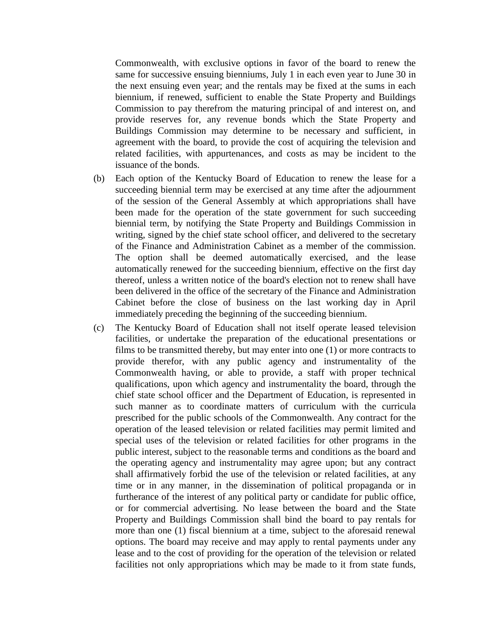Commonwealth, with exclusive options in favor of the board to renew the same for successive ensuing bienniums, July 1 in each even year to June 30 in the next ensuing even year; and the rentals may be fixed at the sums in each biennium, if renewed, sufficient to enable the State Property and Buildings Commission to pay therefrom the maturing principal of and interest on, and provide reserves for, any revenue bonds which the State Property and Buildings Commission may determine to be necessary and sufficient, in agreement with the board, to provide the cost of acquiring the television and related facilities, with appurtenances, and costs as may be incident to the issuance of the bonds.

- (b) Each option of the Kentucky Board of Education to renew the lease for a succeeding biennial term may be exercised at any time after the adjournment of the session of the General Assembly at which appropriations shall have been made for the operation of the state government for such succeeding biennial term, by notifying the State Property and Buildings Commission in writing, signed by the chief state school officer, and delivered to the secretary of the Finance and Administration Cabinet as a member of the commission. The option shall be deemed automatically exercised, and the lease automatically renewed for the succeeding biennium, effective on the first day thereof, unless a written notice of the board's election not to renew shall have been delivered in the office of the secretary of the Finance and Administration Cabinet before the close of business on the last working day in April immediately preceding the beginning of the succeeding biennium.
- (c) The Kentucky Board of Education shall not itself operate leased television facilities, or undertake the preparation of the educational presentations or films to be transmitted thereby, but may enter into one (1) or more contracts to provide therefor, with any public agency and instrumentality of the Commonwealth having, or able to provide, a staff with proper technical qualifications, upon which agency and instrumentality the board, through the chief state school officer and the Department of Education, is represented in such manner as to coordinate matters of curriculum with the curricula prescribed for the public schools of the Commonwealth. Any contract for the operation of the leased television or related facilities may permit limited and special uses of the television or related facilities for other programs in the public interest, subject to the reasonable terms and conditions as the board and the operating agency and instrumentality may agree upon; but any contract shall affirmatively forbid the use of the television or related facilities, at any time or in any manner, in the dissemination of political propaganda or in furtherance of the interest of any political party or candidate for public office, or for commercial advertising. No lease between the board and the State Property and Buildings Commission shall bind the board to pay rentals for more than one (1) fiscal biennium at a time, subject to the aforesaid renewal options. The board may receive and may apply to rental payments under any lease and to the cost of providing for the operation of the television or related facilities not only appropriations which may be made to it from state funds,